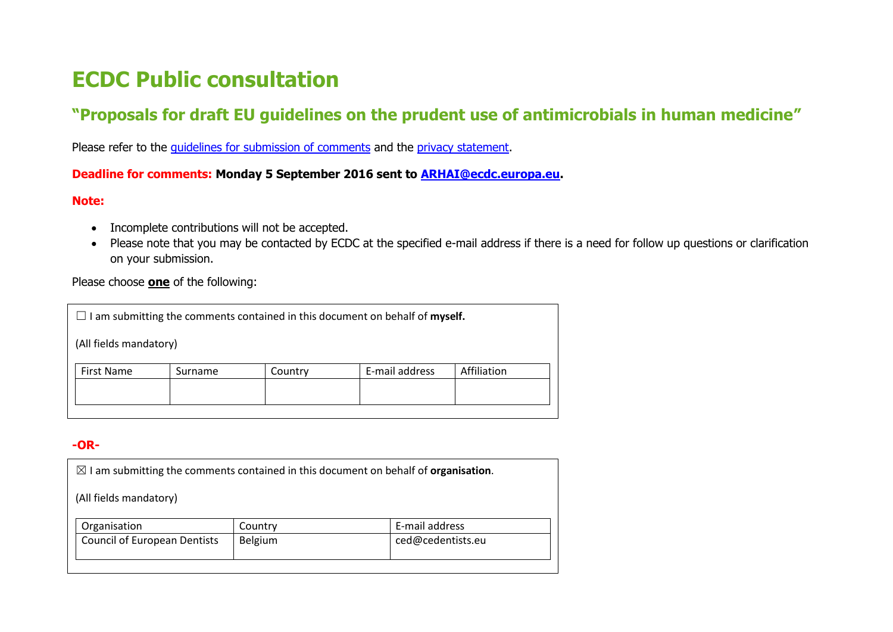# **ECDC Public consultation**

### **"Proposals for draft EU guidelines on the prudent use of antimicrobials in human medicine"**

Please refer to the *guidelines for submission of comments* and the *privacy statement*.

#### **Deadline for comments: Monday 5 September 2016 sent to [ARHAI@ecdc.europa.eu.](mailto:ARHAI@ecdc.europa.eu)**

#### **Note:**

- Incomplete contributions will not be accepted.
- Please note that you may be contacted by ECDC at the specified e-mail address if there is a need for follow up questions or clarification on your submission.

#### Please choose **one** of the following:

| $\Box$ I am submitting the comments contained in this document on behalf of <b>myself.</b> |         |         |                |             |  |  |
|--------------------------------------------------------------------------------------------|---------|---------|----------------|-------------|--|--|
| (All fields mandatory)                                                                     |         |         |                |             |  |  |
| <b>First Name</b>                                                                          | Surname | Country | E-mail address | Affiliation |  |  |
|                                                                                            |         |         |                |             |  |  |

#### **-OR-**

| $\boxtimes$ I am submitting the comments contained in this document on behalf of <b>organisation</b> . |         |                   |  |  |  |
|--------------------------------------------------------------------------------------------------------|---------|-------------------|--|--|--|
| (All fields mandatory)                                                                                 |         |                   |  |  |  |
| Organisation                                                                                           | Country | E-mail address    |  |  |  |
| <b>Council of European Dentists</b>                                                                    | Belgium | ced@cedentists.eu |  |  |  |
|                                                                                                        |         |                   |  |  |  |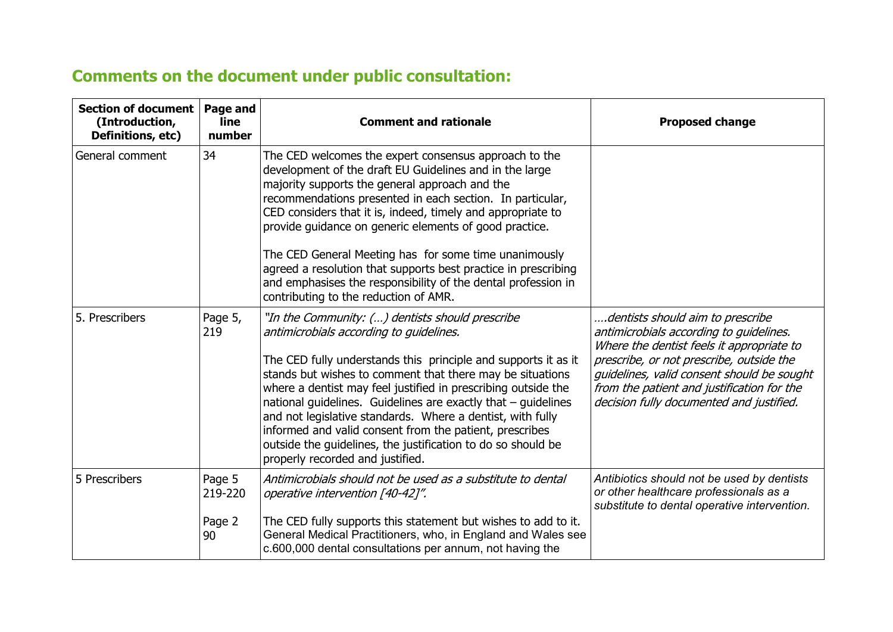## **Comments on the document under public consultation:**

| Section of document<br>(Introduction,<br>Definitions, etc) | Page and<br>line<br>number  | <b>Comment and rationale</b>                                                                                                                                                                                                                                                                                                                                                                                                                                                                                                                                                                  | <b>Proposed change</b>                                                                                                                                                                                                                                                                                       |
|------------------------------------------------------------|-----------------------------|-----------------------------------------------------------------------------------------------------------------------------------------------------------------------------------------------------------------------------------------------------------------------------------------------------------------------------------------------------------------------------------------------------------------------------------------------------------------------------------------------------------------------------------------------------------------------------------------------|--------------------------------------------------------------------------------------------------------------------------------------------------------------------------------------------------------------------------------------------------------------------------------------------------------------|
| General comment                                            | 34                          | The CED welcomes the expert consensus approach to the<br>development of the draft EU Guidelines and in the large<br>majority supports the general approach and the<br>recommendations presented in each section. In particular,<br>CED considers that it is, indeed, timely and appropriate to<br>provide guidance on generic elements of good practice.<br>The CED General Meeting has for some time unanimously<br>agreed a resolution that supports best practice in prescribing<br>and emphasises the responsibility of the dental profession in<br>contributing to the reduction of AMR. |                                                                                                                                                                                                                                                                                                              |
| 5. Prescribers                                             | Page 5,<br>219              | "In the Community: () dentists should prescribe<br>antimicrobials according to quidelines.<br>The CED fully understands this principle and supports it as it<br>stands but wishes to comment that there may be situations<br>where a dentist may feel justified in prescribing outside the<br>national guidelines. Guidelines are exactly that $-$ guidelines<br>and not legislative standards. Where a dentist, with fully<br>informed and valid consent from the patient, prescribes<br>outside the guidelines, the justification to do so should be<br>properly recorded and justified.    | dentists should aim to prescribe<br>antimicrobials according to guidelines.<br>Where the dentist feels it appropriate to<br>prescribe, or not prescribe, outside the<br>guidelines, valid consent should be sought<br>from the patient and justification for the<br>decision fully documented and justified. |
| 5 Prescribers                                              | Page 5<br>219-220<br>Page 2 | Antimicrobials should not be used as a substitute to dental<br>operative intervention [40-42]".<br>The CED fully supports this statement but wishes to add to it.                                                                                                                                                                                                                                                                                                                                                                                                                             | Antibiotics should not be used by dentists<br>or other healthcare professionals as a<br>substitute to dental operative intervention.                                                                                                                                                                         |
|                                                            | 90                          | General Medical Practitioners, who, in England and Wales see<br>c.600,000 dental consultations per annum, not having the                                                                                                                                                                                                                                                                                                                                                                                                                                                                      |                                                                                                                                                                                                                                                                                                              |